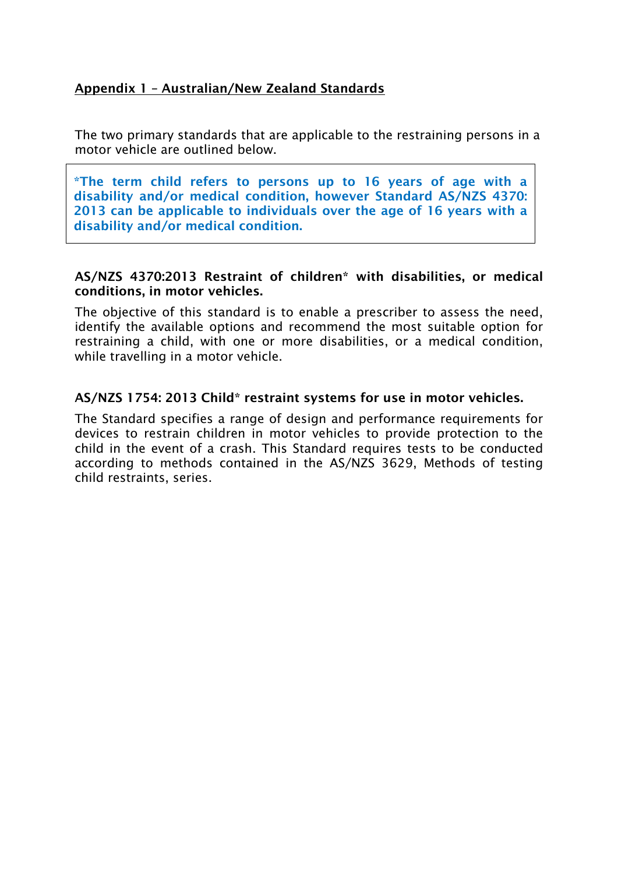# Appendix 1 – Australian/New Zealand Standards

The two primary standards that are applicable to the restraining persons in a motor vehicle are outlined below.

\*The term child refers to persons up to 16 years of age with a disability and/or medical condition, however Standard AS/NZS 4370: 2013 can be applicable to individuals over the age of 16 years with a disability and/or medical condition.

## AS/NZS 4370:2013 Restraint of children\* with disabilities, or medical conditions, in motor vehicles.

The objective of this standard is to enable a prescriber to assess the need, identify the available options and recommend the most suitable option for restraining a child, with one or more disabilities, or a medical condition, while travelling in a motor vehicle.

## AS/NZS 1754: 2013 Child\* restraint systems for use in motor vehicles.

The Standard specifies a range of design and performance requirements for devices to restrain children in motor vehicles to provide protection to the child in the event of a crash. This Standard requires tests to be conducted according to methods contained in the AS/NZS 3629, Methods of testing child restraints, series.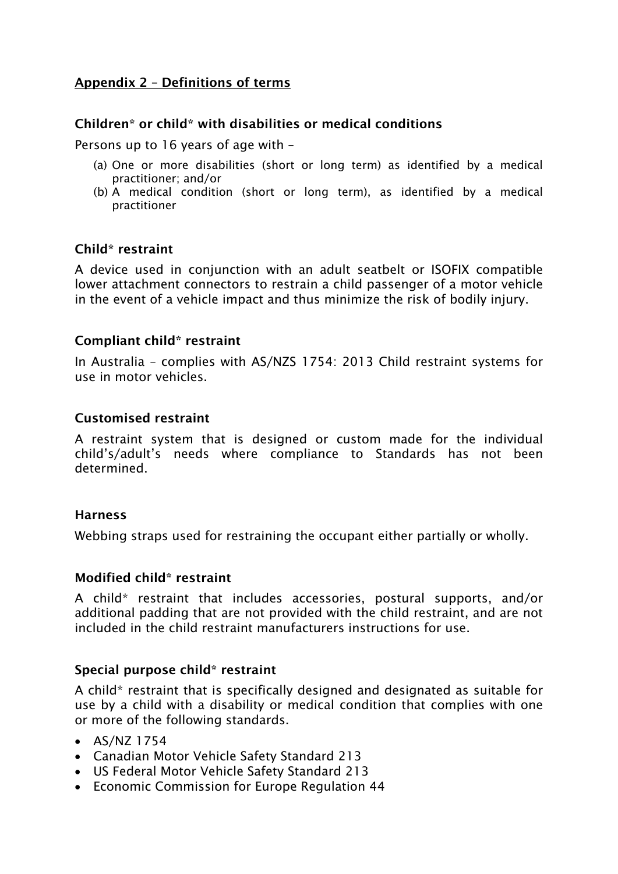# Appendix 2 – Definitions of terms

## Children\* or child\* with disabilities or medical conditions

Persons up to 16 years of age with –

- (a) One or more disabilities (short or long term) as identified by a medical practitioner; and/or
- (b) A medical condition (short or long term), as identified by a medical practitioner

## Child\* restraint

A device used in conjunction with an adult seatbelt or ISOFIX compatible lower attachment connectors to restrain a child passenger of a motor vehicle in the event of a vehicle impact and thus minimize the risk of bodily injury.

## Compliant child\* restraint

In Australia – complies with AS/NZS 1754: 2013 Child restraint systems for use in motor vehicles.

#### Customised restraint

A restraint system that is designed or custom made for the individual child's/adult's needs where compliance to Standards has not been determined.

#### **Harness**

Webbing straps used for restraining the occupant either partially or wholly.

#### Modified child\* restraint

A child\* restraint that includes accessories, postural supports, and/or additional padding that are not provided with the child restraint, and are not included in the child restraint manufacturers instructions for use.

#### Special purpose child\* restraint

A child\* restraint that is specifically designed and designated as suitable for use by a child with a disability or medical condition that complies with one or more of the following standards.

- AS/NZ 1754
- Canadian Motor Vehicle Safety Standard 213
- US Federal Motor Vehicle Safety Standard 213
- Economic Commission for Europe Regulation 44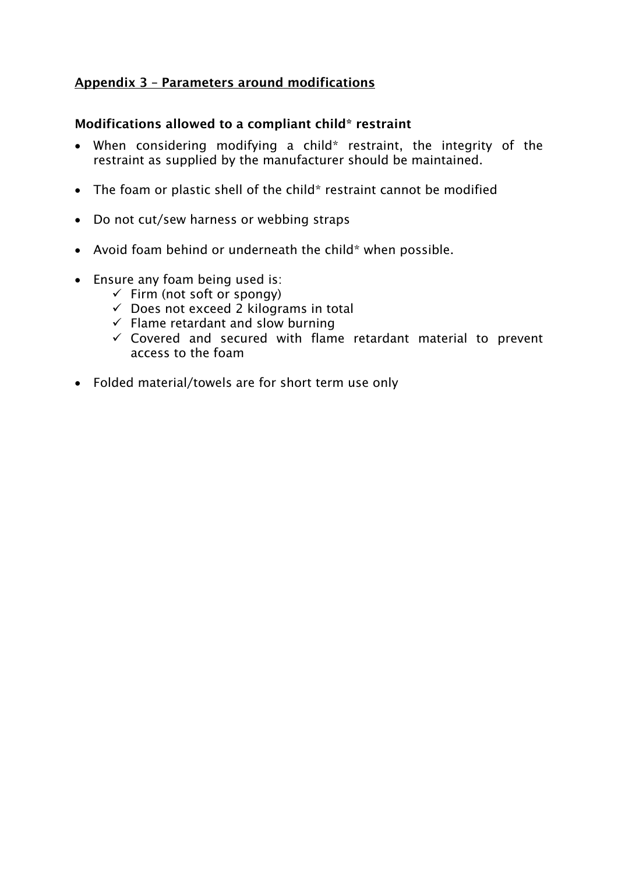# Appendix 3 – Parameters around modifications

## Modifications allowed to a compliant child\* restraint

- When considering modifying a child\* restraint, the integrity of the restraint as supplied by the manufacturer should be maintained.
- The foam or plastic shell of the child\* restraint cannot be modified
- Do not cut/sew harness or webbing straps
- Avoid foam behind or underneath the child\* when possible.
- Ensure any foam being used is:
	- $\checkmark$  Firm (not soft or spongy)
	- $\checkmark$  Does not exceed 2 kilograms in total
	- $\checkmark$  Flame retardant and slow burning
	- $\checkmark$  Covered and secured with flame retardant material to prevent access to the foam
- Folded material/towels are for short term use only